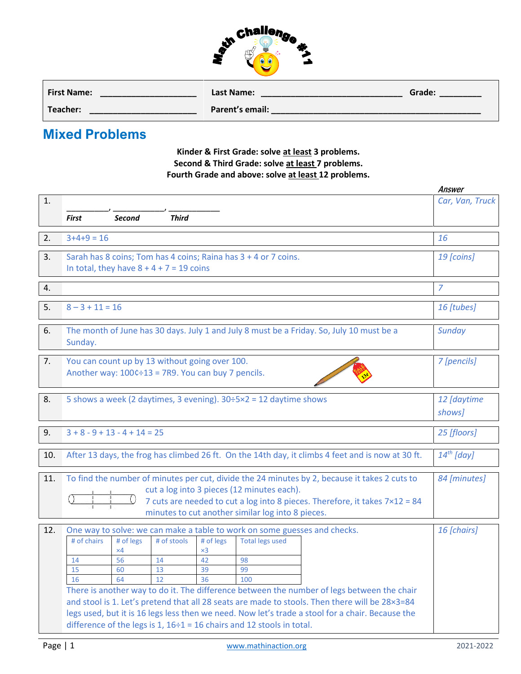

| <b>First Name:</b> | Last Name:      | Grade: |
|--------------------|-----------------|--------|
| Teacher:           | Parent's email: |        |

## **Mixed Problems**

**Kinder & First Grade: solve at least 3 problems. Second & Third Grade: solve at least 7 problems. Fourth Grade and above: solve at least 12 problems.**

|     |                                                                                                  |               |                                                    |            |                                                                                 |                                                                                                   | Answer          |
|-----|--------------------------------------------------------------------------------------------------|---------------|----------------------------------------------------|------------|---------------------------------------------------------------------------------|---------------------------------------------------------------------------------------------------|-----------------|
| 1.  |                                                                                                  |               |                                                    |            |                                                                                 |                                                                                                   | Car, Van, Truck |
|     |                                                                                                  |               |                                                    |            |                                                                                 |                                                                                                   |                 |
|     | <b>First</b>                                                                                     | <b>Second</b> | <b>Third</b>                                       |            |                                                                                 |                                                                                                   |                 |
| 2.  | $3+4+9=16$                                                                                       |               |                                                    |            |                                                                                 |                                                                                                   | 16              |
|     |                                                                                                  |               |                                                    |            |                                                                                 |                                                                                                   |                 |
| 3.  | Sarah has 8 coins; Tom has 4 coins; Raina has 3 + 4 or 7 coins.                                  |               |                                                    |            |                                                                                 |                                                                                                   | 19 [coins]      |
|     | In total, they have $8 + 4 + 7 = 19$ coins                                                       |               |                                                    |            |                                                                                 |                                                                                                   |                 |
| 4.  |                                                                                                  |               |                                                    |            |                                                                                 |                                                                                                   | 7               |
|     |                                                                                                  |               |                                                    |            |                                                                                 |                                                                                                   |                 |
| 5.  | $8 - 3 + 11 = 16$                                                                                |               |                                                    |            |                                                                                 |                                                                                                   | 16 [tubes]      |
|     |                                                                                                  |               |                                                    |            |                                                                                 |                                                                                                   |                 |
| 6.  |                                                                                                  |               |                                                    |            |                                                                                 | The month of June has 30 days. July 1 and July 8 must be a Friday. So, July 10 must be a          | Sunday          |
|     | Sunday.                                                                                          |               |                                                    |            |                                                                                 |                                                                                                   |                 |
|     |                                                                                                  |               |                                                    |            |                                                                                 |                                                                                                   |                 |
| 7.  |                                                                                                  |               | You can count up by 13 without going over 100.     |            |                                                                                 |                                                                                                   | 7 [pencils]     |
|     |                                                                                                  |               | Another way: 100¢÷13 = 7R9. You can buy 7 pencils. |            |                                                                                 |                                                                                                   |                 |
|     |                                                                                                  |               |                                                    |            |                                                                                 |                                                                                                   |                 |
| 8.  |                                                                                                  |               |                                                    |            | 5 shows a week (2 daytimes, 3 evening). $30 \div 5 \times 2 = 12$ daytime shows |                                                                                                   | 12 [daytime     |
|     |                                                                                                  |               |                                                    |            |                                                                                 |                                                                                                   | shows]          |
|     |                                                                                                  |               |                                                    |            |                                                                                 |                                                                                                   |                 |
| 9.  | $3 + 8 - 9 + 13 - 4 + 14 = 25$                                                                   |               |                                                    |            |                                                                                 |                                                                                                   | 25 [floors]     |
|     |                                                                                                  |               |                                                    |            |                                                                                 |                                                                                                   |                 |
| 10. |                                                                                                  |               |                                                    |            |                                                                                 | After 13 days, the frog has climbed 26 ft. On the 14th day, it climbs 4 feet and is now at 30 ft. | $14^{th}$ [day] |
|     |                                                                                                  |               |                                                    |            |                                                                                 |                                                                                                   |                 |
| 11. | To find the number of minutes per cut, divide the 24 minutes by 2, because it takes 2 cuts to    |               |                                                    |            |                                                                                 |                                                                                                   | 84 [minutes]    |
|     |                                                                                                  |               |                                                    |            | cut a log into 3 pieces (12 minutes each).                                      |                                                                                                   |                 |
|     |                                                                                                  |               |                                                    |            |                                                                                 | 7 cuts are needed to cut a log into 8 pieces. Therefore, it takes 7×12 = 84                       |                 |
|     |                                                                                                  |               |                                                    |            | minutes to cut another similar log into 8 pieces.                               |                                                                                                   |                 |
| 12. |                                                                                                  |               |                                                    |            | One way to solve: we can make a table to work on some guesses and checks.       |                                                                                                   | 16 [chairs]     |
|     | # of chairs                                                                                      | # of legs     | # of stools                                        | # of legs  | <b>Total legs used</b>                                                          |                                                                                                   |                 |
|     |                                                                                                  | $\times$ 4    |                                                    | $\times 3$ |                                                                                 |                                                                                                   |                 |
|     | 14                                                                                               | 56            | 14                                                 | 42         | 98                                                                              |                                                                                                   |                 |
|     | 15                                                                                               | 60            | 13                                                 | 39         | 99                                                                              |                                                                                                   |                 |
|     | 16                                                                                               | 64            | 12                                                 | 36         | 100                                                                             |                                                                                                   |                 |
|     |                                                                                                  |               |                                                    |            |                                                                                 | There is another way to do it. The difference between the number of legs between the chair        |                 |
|     | and stool is 1. Let's pretend that all 28 seats are made to stools. Then there will be 28×3=84   |               |                                                    |            |                                                                                 |                                                                                                   |                 |
|     | legs used, but it is 16 legs less then we need. Now let's trade a stool for a chair. Because the |               |                                                    |            |                                                                                 |                                                                                                   |                 |
|     | difference of the legs is $1, 16 \div 1 = 16$ chairs and 12 stools in total.                     |               |                                                    |            |                                                                                 |                                                                                                   |                 |